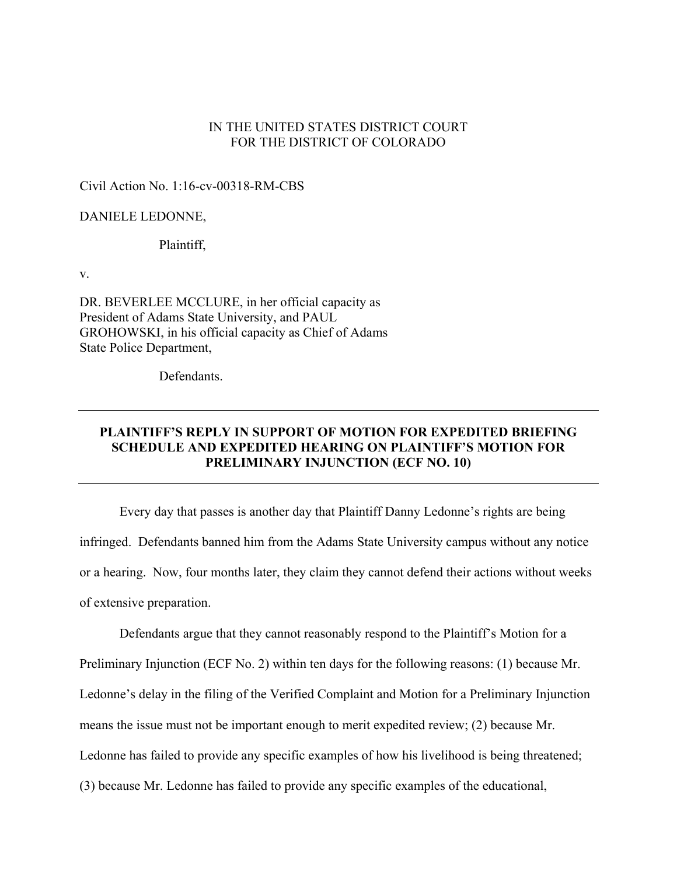### IN THE UNITED STATES DISTRICT COURT FOR THE DISTRICT OF COLORADO

Civil Action No. 1:16-cv-00318-RM-CBS

#### DANIELE LEDONNE,

Plaintiff,

v.

DR. BEVERLEE MCCLURE, in her official capacity as President of Adams State University, and PAUL GROHOWSKI, in his official capacity as Chief of Adams State Police Department,

Defendants.

# **PLAINTIFF'S REPLY IN SUPPORT OF MOTION FOR EXPEDITED BRIEFING SCHEDULE AND EXPEDITED HEARING ON PLAINTIFF'S MOTION FOR PRELIMINARY INJUNCTION (ECF NO. 10)**

Every day that passes is another day that Plaintiff Danny Ledonne's rights are being infringed. Defendants banned him from the Adams State University campus without any notice or a hearing. Now, four months later, they claim they cannot defend their actions without weeks of extensive preparation.

Defendants argue that they cannot reasonably respond to the Plaintiff's Motion for a Preliminary Injunction (ECF No. 2) within ten days for the following reasons: (1) because Mr. Ledonne's delay in the filing of the Verified Complaint and Motion for a Preliminary Injunction means the issue must not be important enough to merit expedited review; (2) because Mr. Ledonne has failed to provide any specific examples of how his livelihood is being threatened; (3) because Mr. Ledonne has failed to provide any specific examples of the educational,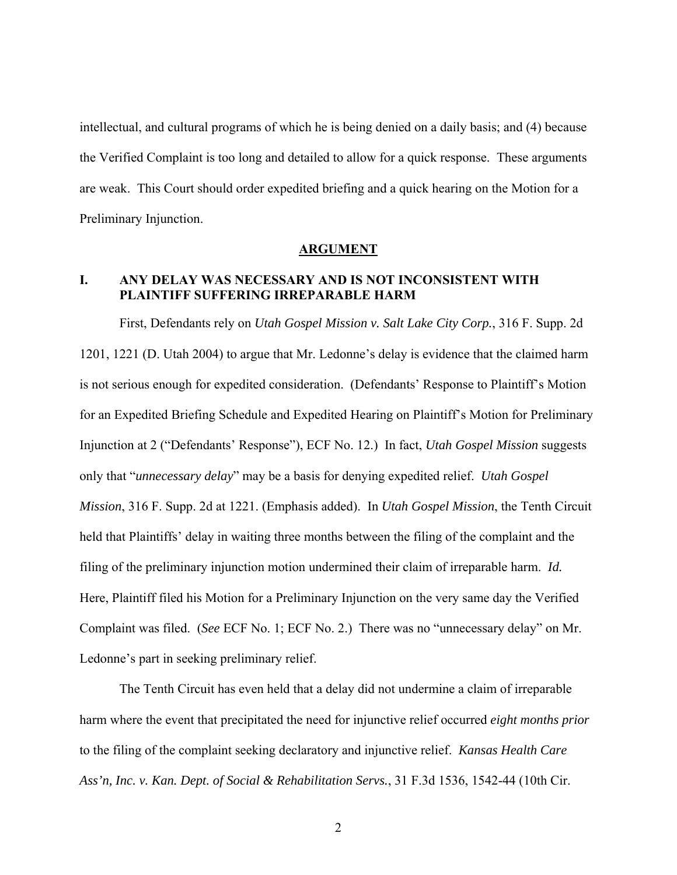intellectual, and cultural programs of which he is being denied on a daily basis; and (4) because the Verified Complaint is too long and detailed to allow for a quick response. These arguments are weak. This Court should order expedited briefing and a quick hearing on the Motion for a Preliminary Injunction.

#### **ARGUMENT**

# **I. ANY DELAY WAS NECESSARY AND IS NOT INCONSISTENT WITH PLAINTIFF SUFFERING IRREPARABLE HARM**

First, Defendants rely on *Utah Gospel Mission v. Salt Lake City Corp.*, 316 F. Supp. 2d 1201, 1221 (D. Utah 2004) to argue that Mr. Ledonne's delay is evidence that the claimed harm is not serious enough for expedited consideration. (Defendants' Response to Plaintiff's Motion for an Expedited Briefing Schedule and Expedited Hearing on Plaintiff's Motion for Preliminary Injunction at 2 ("Defendants' Response"), ECF No. 12.) In fact, *Utah Gospel Mission* suggests only that "*unnecessary delay*" may be a basis for denying expedited relief. *Utah Gospel Mission*, 316 F. Supp. 2d at 1221. (Emphasis added). In *Utah Gospel Mission*, the Tenth Circuit held that Plaintiffs' delay in waiting three months between the filing of the complaint and the filing of the preliminary injunction motion undermined their claim of irreparable harm. *Id.* Here, Plaintiff filed his Motion for a Preliminary Injunction on the very same day the Verified Complaint was filed. (*See* ECF No. 1; ECF No. 2.) There was no "unnecessary delay" on Mr. Ledonne's part in seeking preliminary relief.

The Tenth Circuit has even held that a delay did not undermine a claim of irreparable harm where the event that precipitated the need for injunctive relief occurred *eight months prior* to the filing of the complaint seeking declaratory and injunctive relief. *Kansas Health Care Ass'n, Inc. v. Kan. Dept. of Social & Rehabilitation Servs.*, 31 F.3d 1536, 1542-44 (10th Cir.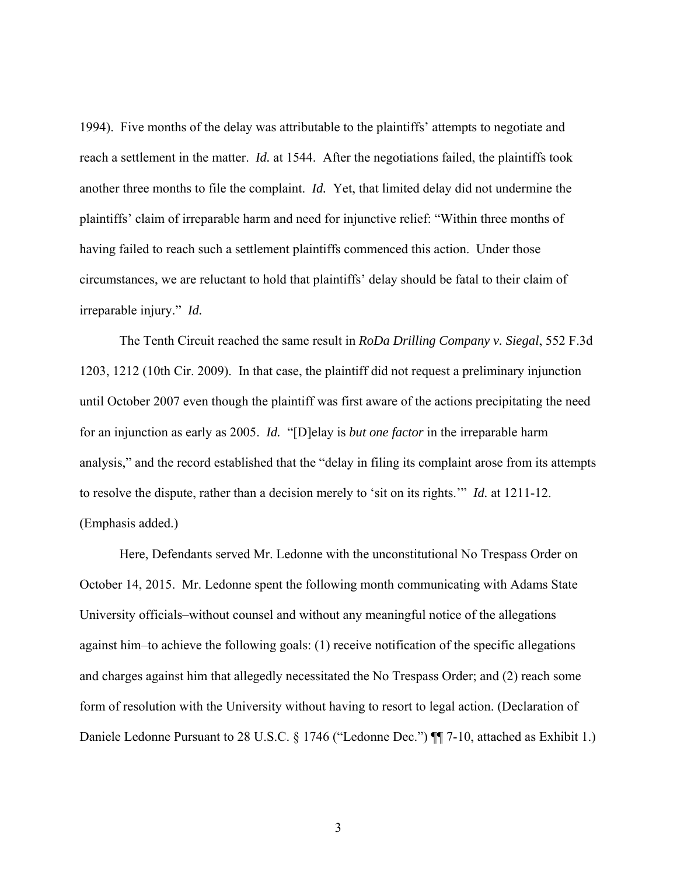1994). Five months of the delay was attributable to the plaintiffs' attempts to negotiate and reach a settlement in the matter. *Id.* at 1544. After the negotiations failed, the plaintiffs took another three months to file the complaint. *Id.* Yet, that limited delay did not undermine the plaintiffs' claim of irreparable harm and need for injunctive relief: "Within three months of having failed to reach such a settlement plaintiffs commenced this action. Under those circumstances, we are reluctant to hold that plaintiffs' delay should be fatal to their claim of irreparable injury." *Id.* 

The Tenth Circuit reached the same result in *RoDa Drilling Company v. Siegal*, 552 F.3d 1203, 1212 (10th Cir. 2009). In that case, the plaintiff did not request a preliminary injunction until October 2007 even though the plaintiff was first aware of the actions precipitating the need for an injunction as early as 2005. *Id.* "[D]elay is *but one factor* in the irreparable harm analysis," and the record established that the "delay in filing its complaint arose from its attempts to resolve the dispute, rather than a decision merely to 'sit on its rights.'" *Id.* at 1211-12. (Emphasis added.)

Here, Defendants served Mr. Ledonne with the unconstitutional No Trespass Order on October 14, 2015. Mr. Ledonne spent the following month communicating with Adams State University officials–without counsel and without any meaningful notice of the allegations against him–to achieve the following goals: (1) receive notification of the specific allegations and charges against him that allegedly necessitated the No Trespass Order; and (2) reach some form of resolution with the University without having to resort to legal action. (Declaration of Daniele Ledonne Pursuant to 28 U.S.C. § 1746 ("Ledonne Dec.") ¶ 7-10, attached as Exhibit 1.)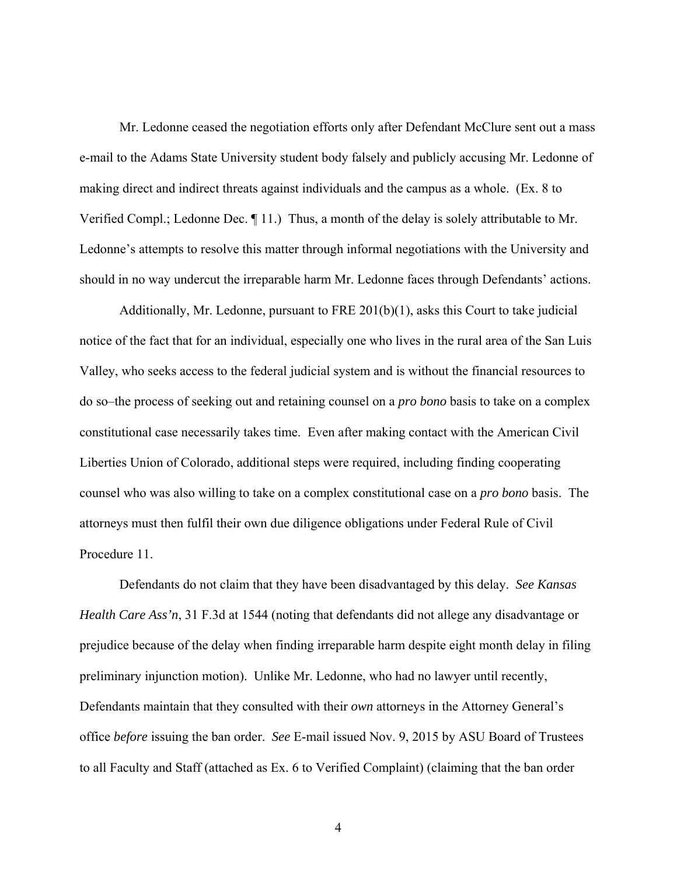Mr. Ledonne ceased the negotiation efforts only after Defendant McClure sent out a mass e-mail to the Adams State University student body falsely and publicly accusing Mr. Ledonne of making direct and indirect threats against individuals and the campus as a whole. (Ex. 8 to Verified Compl.; Ledonne Dec. ¶ 11.) Thus, a month of the delay is solely attributable to Mr. Ledonne's attempts to resolve this matter through informal negotiations with the University and should in no way undercut the irreparable harm Mr. Ledonne faces through Defendants' actions.

Additionally, Mr. Ledonne, pursuant to FRE 201(b)(1), asks this Court to take judicial notice of the fact that for an individual, especially one who lives in the rural area of the San Luis Valley, who seeks access to the federal judicial system and is without the financial resources to do so–the process of seeking out and retaining counsel on a *pro bono* basis to take on a complex constitutional case necessarily takes time. Even after making contact with the American Civil Liberties Union of Colorado, additional steps were required, including finding cooperating counsel who was also willing to take on a complex constitutional case on a *pro bono* basis. The attorneys must then fulfil their own due diligence obligations under Federal Rule of Civil Procedure 11.

Defendants do not claim that they have been disadvantaged by this delay. *See Kansas Health Care Ass'n*, 31 F.3d at 1544 (noting that defendants did not allege any disadvantage or prejudice because of the delay when finding irreparable harm despite eight month delay in filing preliminary injunction motion). Unlike Mr. Ledonne, who had no lawyer until recently, Defendants maintain that they consulted with their *own* attorneys in the Attorney General's office *before* issuing the ban order. *See* E-mail issued Nov. 9, 2015 by ASU Board of Trustees to all Faculty and Staff (attached as Ex. 6 to Verified Complaint) (claiming that the ban order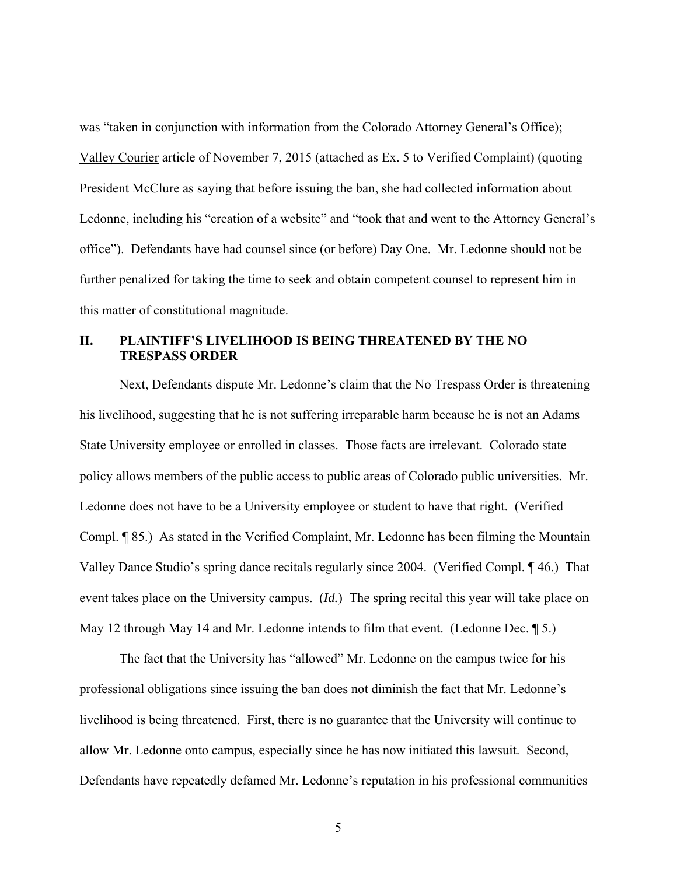was "taken in conjunction with information from the Colorado Attorney General's Office); Valley Courier article of November 7, 2015 (attached as Ex. 5 to Verified Complaint) (quoting President McClure as saying that before issuing the ban, she had collected information about Ledonne, including his "creation of a website" and "took that and went to the Attorney General's office"). Defendants have had counsel since (or before) Day One. Mr. Ledonne should not be further penalized for taking the time to seek and obtain competent counsel to represent him in this matter of constitutional magnitude.

# **II. PLAINTIFF'S LIVELIHOOD IS BEING THREATENED BY THE NO TRESPASS ORDER**

Next, Defendants dispute Mr. Ledonne's claim that the No Trespass Order is threatening his livelihood, suggesting that he is not suffering irreparable harm because he is not an Adams State University employee or enrolled in classes. Those facts are irrelevant. Colorado state policy allows members of the public access to public areas of Colorado public universities. Mr. Ledonne does not have to be a University employee or student to have that right. (Verified Compl. ¶ 85.) As stated in the Verified Complaint, Mr. Ledonne has been filming the Mountain Valley Dance Studio's spring dance recitals regularly since 2004. (Verified Compl. ¶ 46.) That event takes place on the University campus. (*Id.*) The spring recital this year will take place on May 12 through May 14 and Mr. Ledonne intends to film that event. (Ledonne Dec. ¶ 5.)

The fact that the University has "allowed" Mr. Ledonne on the campus twice for his professional obligations since issuing the ban does not diminish the fact that Mr. Ledonne's livelihood is being threatened. First, there is no guarantee that the University will continue to allow Mr. Ledonne onto campus, especially since he has now initiated this lawsuit. Second, Defendants have repeatedly defamed Mr. Ledonne's reputation in his professional communities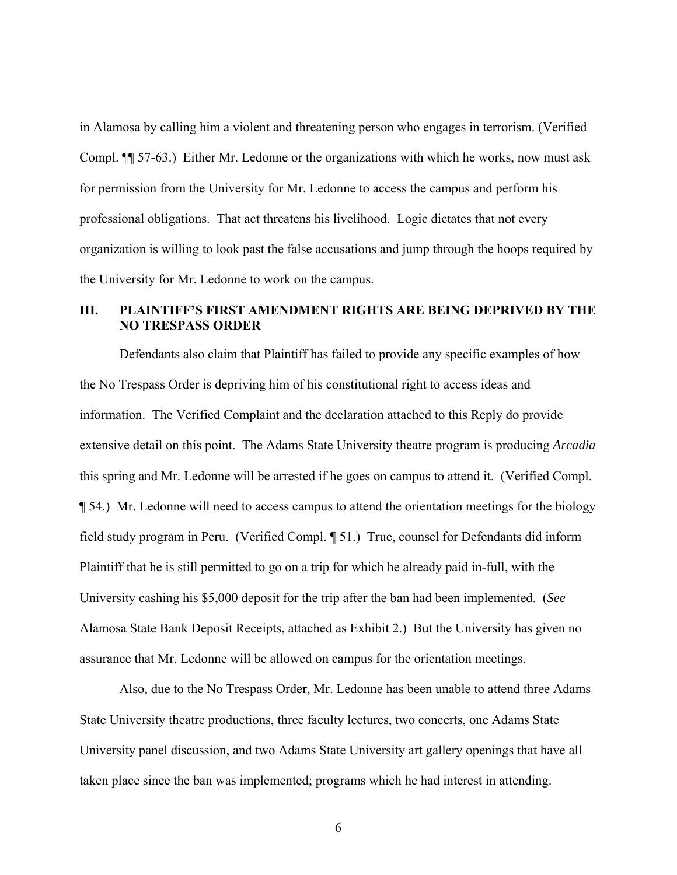in Alamosa by calling him a violent and threatening person who engages in terrorism. (Verified Compl. ¶¶ 57-63.) Either Mr. Ledonne or the organizations with which he works, now must ask for permission from the University for Mr. Ledonne to access the campus and perform his professional obligations. That act threatens his livelihood. Logic dictates that not every organization is willing to look past the false accusations and jump through the hoops required by the University for Mr. Ledonne to work on the campus.

# **III. PLAINTIFF'S FIRST AMENDMENT RIGHTS ARE BEING DEPRIVED BY THE NO TRESPASS ORDER**

Defendants also claim that Plaintiff has failed to provide any specific examples of how the No Trespass Order is depriving him of his constitutional right to access ideas and information. The Verified Complaint and the declaration attached to this Reply do provide extensive detail on this point. The Adams State University theatre program is producing *Arcadia* this spring and Mr. Ledonne will be arrested if he goes on campus to attend it. (Verified Compl. ¶ 54.) Mr. Ledonne will need to access campus to attend the orientation meetings for the biology field study program in Peru. (Verified Compl. ¶ 51.) True, counsel for Defendants did inform Plaintiff that he is still permitted to go on a trip for which he already paid in-full, with the University cashing his \$5,000 deposit for the trip after the ban had been implemented. (*See*  Alamosa State Bank Deposit Receipts, attached as Exhibit 2.) But the University has given no assurance that Mr. Ledonne will be allowed on campus for the orientation meetings.

Also, due to the No Trespass Order, Mr. Ledonne has been unable to attend three Adams State University theatre productions, three faculty lectures, two concerts, one Adams State University panel discussion, and two Adams State University art gallery openings that have all taken place since the ban was implemented; programs which he had interest in attending.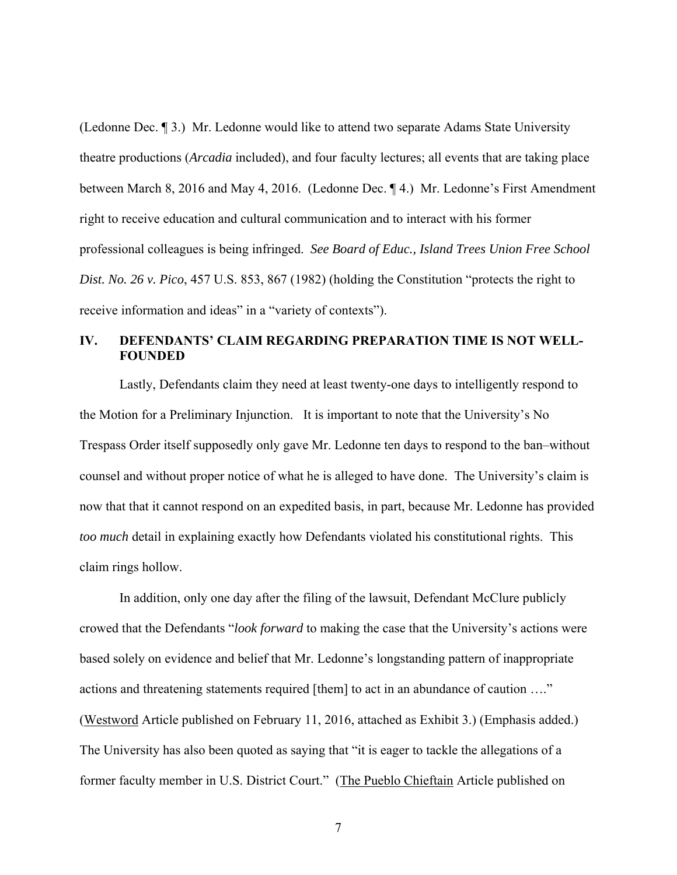(Ledonne Dec. ¶ 3.) Mr. Ledonne would like to attend two separate Adams State University theatre productions (*Arcadia* included), and four faculty lectures; all events that are taking place between March 8, 2016 and May 4, 2016. (Ledonne Dec. ¶ 4.) Mr. Ledonne's First Amendment right to receive education and cultural communication and to interact with his former professional colleagues is being infringed. *See Board of Educ., Island Trees Union Free School Dist. No. 26 v. Pico*, 457 U.S. 853, 867 (1982) (holding the Constitution "protects the right to receive information and ideas" in a "variety of contexts").

# **IV. DEFENDANTS' CLAIM REGARDING PREPARATION TIME IS NOT WELL-FOUNDED**

Lastly, Defendants claim they need at least twenty-one days to intelligently respond to the Motion for a Preliminary Injunction. It is important to note that the University's No Trespass Order itself supposedly only gave Mr. Ledonne ten days to respond to the ban–without counsel and without proper notice of what he is alleged to have done. The University's claim is now that that it cannot respond on an expedited basis, in part, because Mr. Ledonne has provided *too much* detail in explaining exactly how Defendants violated his constitutional rights. This claim rings hollow.

In addition, only one day after the filing of the lawsuit, Defendant McClure publicly crowed that the Defendants "*look forward* to making the case that the University's actions were based solely on evidence and belief that Mr. Ledonne's longstanding pattern of inappropriate actions and threatening statements required [them] to act in an abundance of caution …." (Westword Article published on February 11, 2016, attached as Exhibit 3.) (Emphasis added.) The University has also been quoted as saying that "it is eager to tackle the allegations of a former faculty member in U.S. District Court." (The Pueblo Chieftain Article published on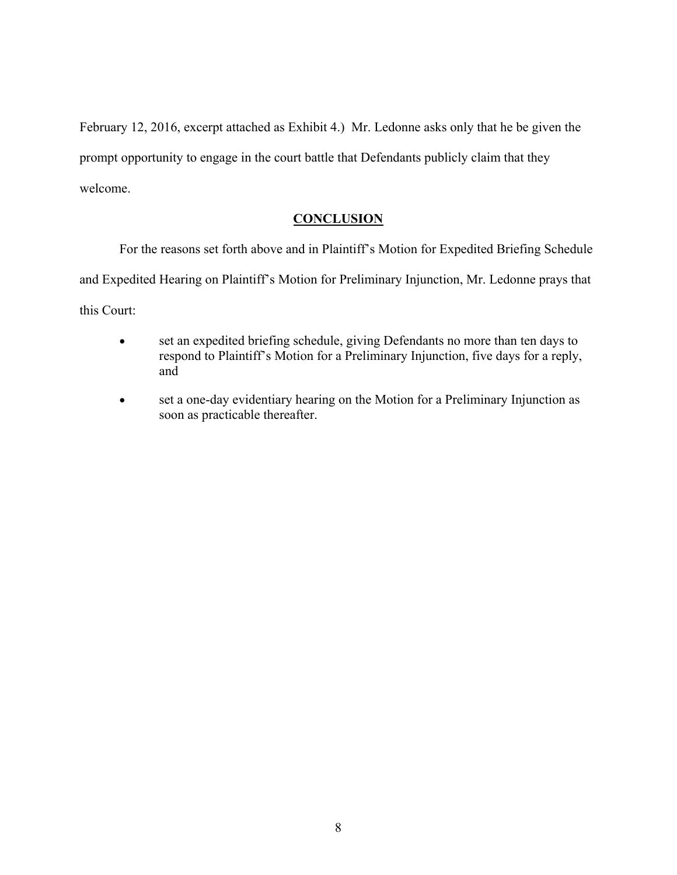February 12, 2016, excerpt attached as Exhibit 4.) Mr. Ledonne asks only that he be given the prompt opportunity to engage in the court battle that Defendants publicly claim that they welcome.

# **CONCLUSION**

For the reasons set forth above and in Plaintiff's Motion for Expedited Briefing Schedule and Expedited Hearing on Plaintiff's Motion for Preliminary Injunction, Mr. Ledonne prays that this Court:

- set an expedited briefing schedule, giving Defendants no more than ten days to respond to Plaintiff's Motion for a Preliminary Injunction, five days for a reply, and
- set a one-day evidentiary hearing on the Motion for a Preliminary Injunction as soon as practicable thereafter.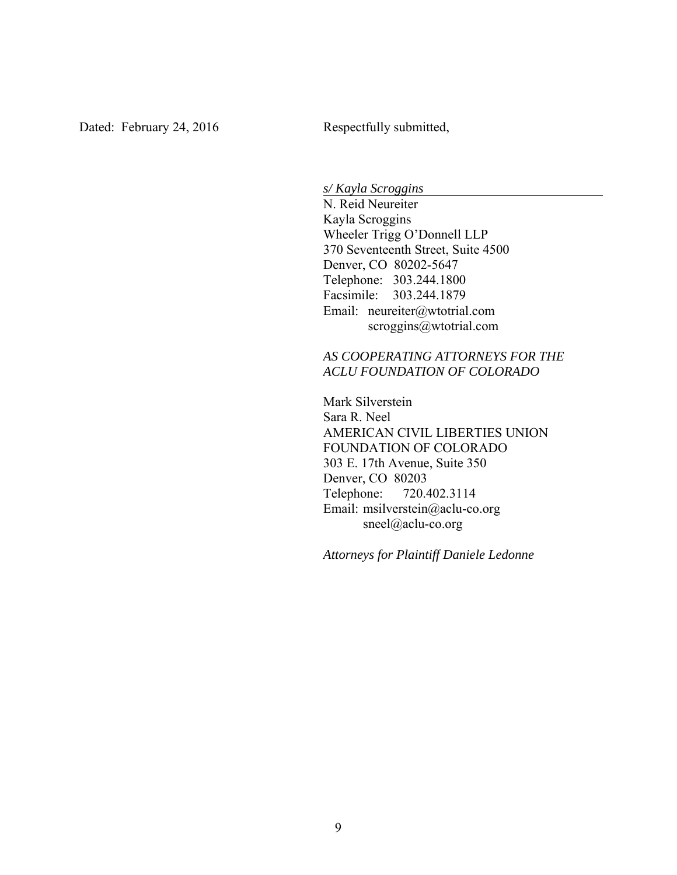*s/ Kayla Scroggins* 

N. Reid Neureiter Kayla Scroggins Wheeler Trigg O'Donnell LLP 370 Seventeenth Street, Suite 4500 Denver, CO 80202-5647 Telephone: 303.244.1800 Facsimile: 303.244.1879 Email: neureiter@wtotrial.com scroggins@wtotrial.com

# *AS COOPERATING ATTORNEYS FOR THE ACLU FOUNDATION OF COLORADO*

 Mark Silverstein Sara R. Neel AMERICAN CIVIL LIBERTIES UNION FOUNDATION OF COLORADO 303 E. 17th Avenue, Suite 350 Denver, CO 80203 Telephone: 720.402.3114 Email: msilverstein@aclu-co.org sneel@aclu-co.org

*Attorneys for Plaintiff Daniele Ledonne*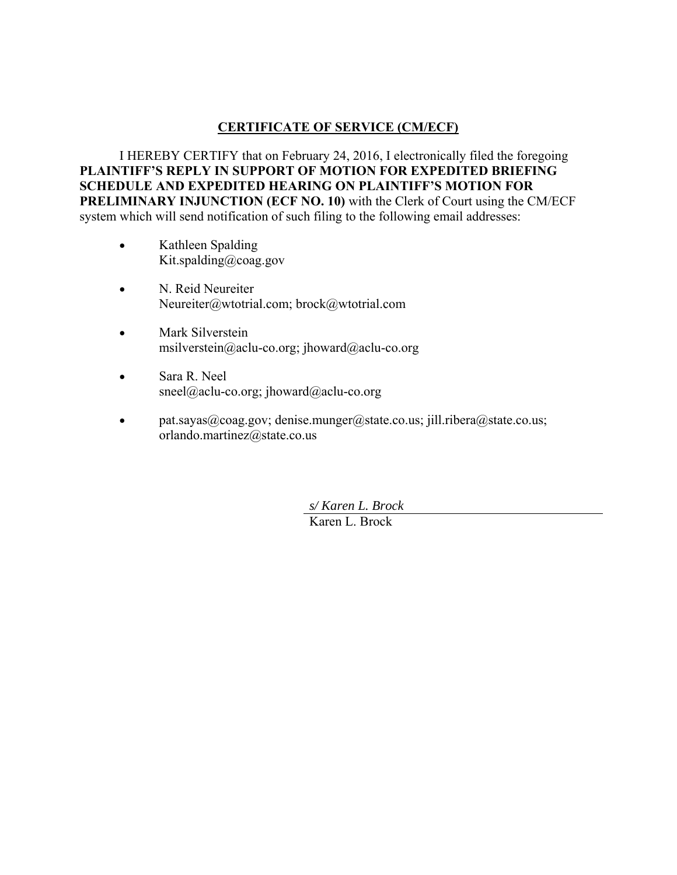# **CERTIFICATE OF SERVICE (CM/ECF)**

I HEREBY CERTIFY that on February 24, 2016, I electronically filed the foregoing **PLAINTIFF'S REPLY IN SUPPORT OF MOTION FOR EXPEDITED BRIEFING SCHEDULE AND EXPEDITED HEARING ON PLAINTIFF'S MOTION FOR PRELIMINARY INJUNCTION (ECF NO. 10) with the Clerk of Court using the CM/ECF** system which will send notification of such filing to the following email addresses:

- Kathleen Spalding Kit.spalding@coag.gov
- N. Reid Neureiter Neureiter@wtotrial.com; brock@wtotrial.com
- Mark Silverstein msilverstein@aclu-co.org; jhoward@aclu-co.org
- Sara R. Neel sneel@aclu-co.org; jhoward@aclu-co.org
- **•** pat.sayas@coag.gov; denise.munger@state.co.us; jill.ribera@state.co.us; orlando.martinez@state.co.us

*s/ Karen L. Brock*  Karen L. Brock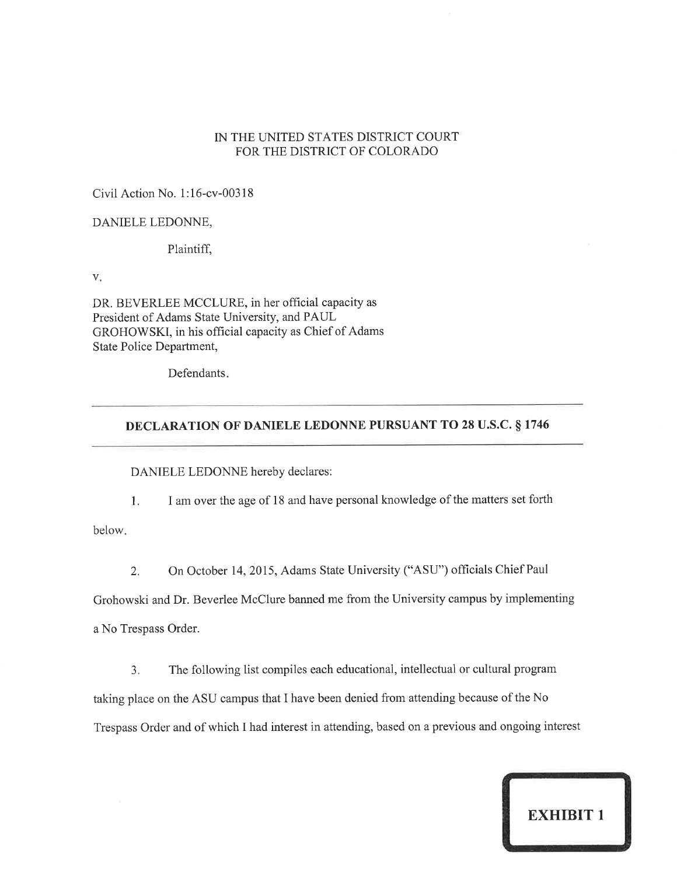#### IN THE UNITED STATES DISTRICT COURT FOR THE DISTRICT OF COLORADO

Civil Action No. 1:16-cv-00318

#### DANIELE LEDONNE,

Plaintiff,

V.

DR. BEVERLEE MCCLURE, in her official capacity as President of Adams State University, and PAUL GROHOWSKI, in his official capacity as Chief of Adams State Police Department,

Defendants.

#### **DECLARATION OF DANIELE LEDONNE PURSUANT TO 28 U.S.C. § 1746**

DANIELE LEDONNE hereby declares:

I am over the age of 18 and have personal knowledge of the matters set forth  $1.$ 

below.

On October 14, 2015, Adams State University ("ASU") officials Chief Paul 2.

Grohowski and Dr. Beverlee McClure banned me from the University campus by implementing a No Trespass Order.

The following list compiles each educational, intellectual or cultural program  $3.$ taking place on the ASU campus that I have been denied from attending because of the No Trespass Order and of which I had interest in attending, based on a previous and ongoing interest

**EXHIBIT 1**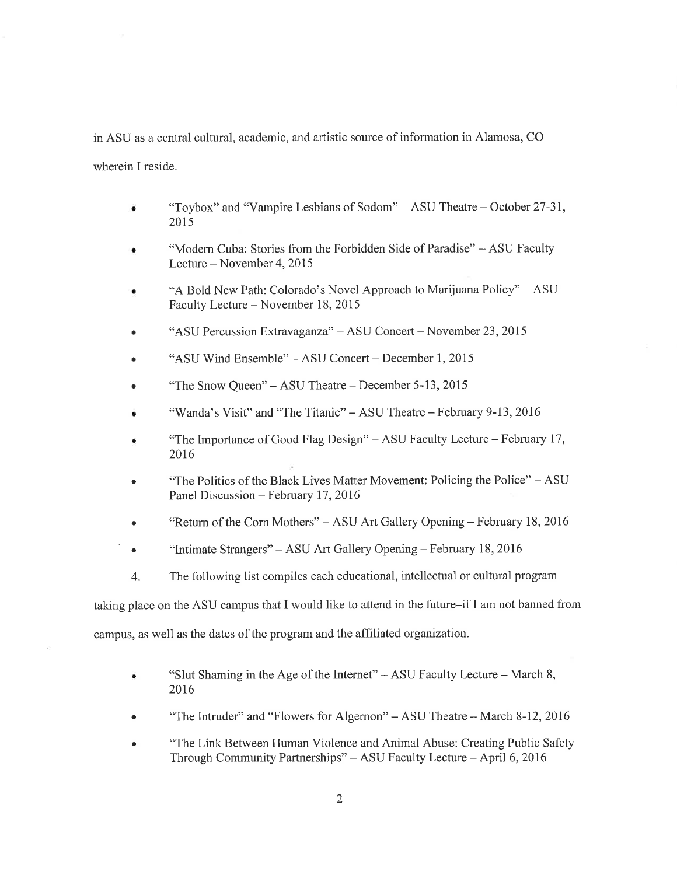in ASU as a central cultural, academic, and artistic source of information in Alamosa, CO wherein I reside.

- "Toybox" and "Vampire Lesbians of Sodom" ASU Theatre October 27-31, 2015
- "Modern Cuba: Stories from the Forbidden Side of Paradise" ASU Faculty Lecture – November 4, 2015
- "A Bold New Path: Colorado's Novel Approach to Marijuana Policy" ASU Faculty Lecture - November 18, 2015
- "ASU Percussion Extravaganza" ASU Concert November 23, 2015
- "ASU Wind Ensemble" ASU Concert December 1, 2015
- "The Snow Oueen" ASU Theatre December 5-13, 2015
- "Wanda's Visit" and "The Titanic" ASU Theatre February 9-13, 2016
- "The Importance of Good Flag Design" ASU Faculty Lecture February 17, 2016
- "The Politics of the Black Lives Matter Movement: Policing the Police" ASU Panel Discussion - February 17, 2016
- "Return of the Corn Mothers" ASU Art Gallery Opening February 18, 2016
- "Intimate Strangers" ASU Art Gallery Opening February 18, 2016  $\bullet$
- $4.$ The following list compiles each educational, intellectual or cultural program

taking place on the ASU campus that I would like to attend in the future-if I am not banned from campus, as well as the dates of the program and the affiliated organization.

- "Slut Shaming in the Age of the Internet" ASU Faculty Lecture March 8,  $\bullet$ 2016
- "The Intruder" and "Flowers for Algernon" ASU Theatre March 8-12, 2016
- "The Link Between Human Violence and Animal Abuse: Creating Public Safety Through Community Partnerships" - ASU Faculty Lecture - April 6, 2016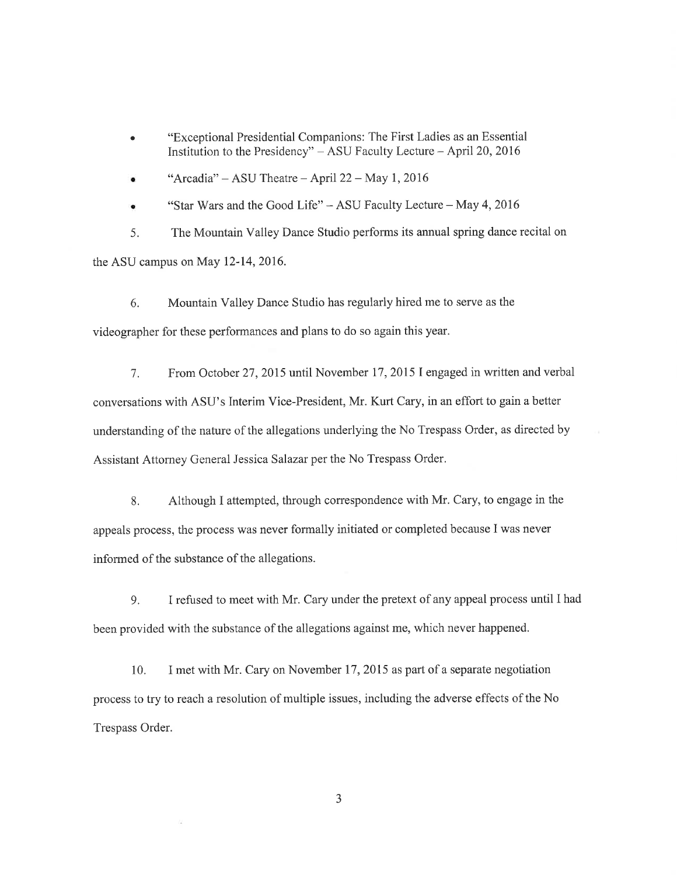- "Exceptional Presidential Companions: The First Ladies as an Essential  $\bullet$ Institution to the Presidency"  $-$  ASU Faculty Lecture  $-$  April 20, 2016
- "Arcadia" ASU Theatre April 22 May 1, 2016

"Star Wars and the Good Life" - ASU Faculty Lecture - May 4, 2016

The Mountain Valley Dance Studio performs its annual spring dance recital on 5. the ASU campus on May 12-14, 2016.

Mountain Valley Dance Studio has regularly hired me to serve as the 6. videographer for these performances and plans to do so again this year.

From October 27, 2015 until November 17, 2015 I engaged in written and verbal  $7<sup>1</sup>$ conversations with ASU's Interim Vice-President, Mr. Kurt Cary, in an effort to gain a better understanding of the nature of the allegations underlying the No Trespass Order, as directed by Assistant Attorney General Jessica Salazar per the No Trespass Order.

8. Although I attempted, through correspondence with Mr. Cary, to engage in the appeals process, the process was never formally initiated or completed because I was never informed of the substance of the allegations.

I refused to meet with Mr. Cary under the pretext of any appeal process until I had 9. been provided with the substance of the allegations against me, which never happened.

I met with Mr. Cary on November 17, 2015 as part of a separate negotiation 10. process to try to reach a resolution of multiple issues, including the adverse effects of the No Trespass Order.

 $\overline{3}$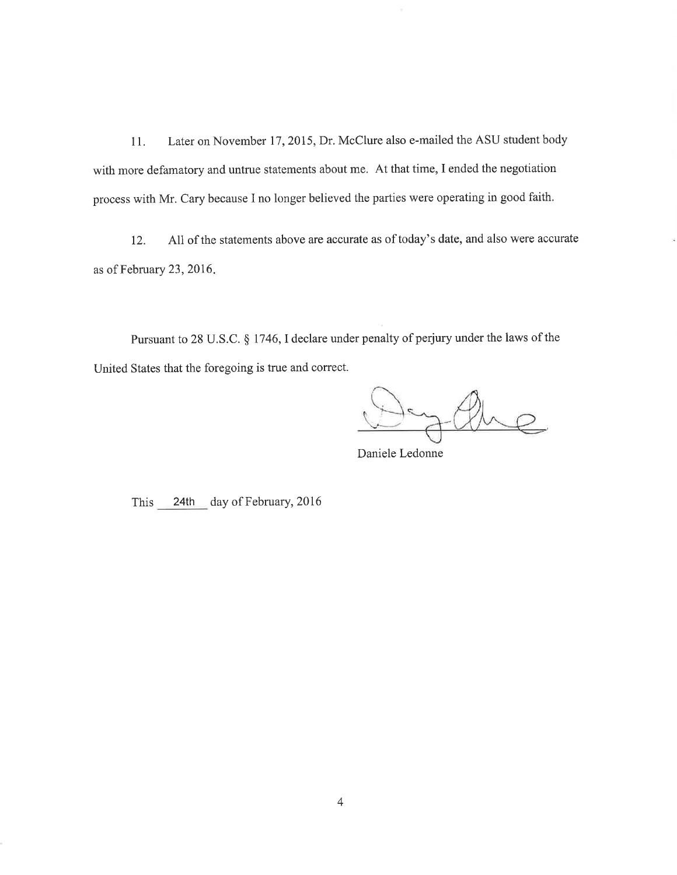Later on November 17, 2015, Dr. McClure also e-mailed the ASU student body 11. with more defamatory and untrue statements about me. At that time, I ended the negotiation process with Mr. Cary because I no longer believed the parties were operating in good faith.

All of the statements above are accurate as of today's date, and also were accurate 12. as of February 23, 2016.

Pursuant to 28 U.S.C. § 1746, I declare under penalty of perjury under the laws of the United States that the foregoing is true and correct.

he

Daniele Ledonne

This 24th day of February, 2016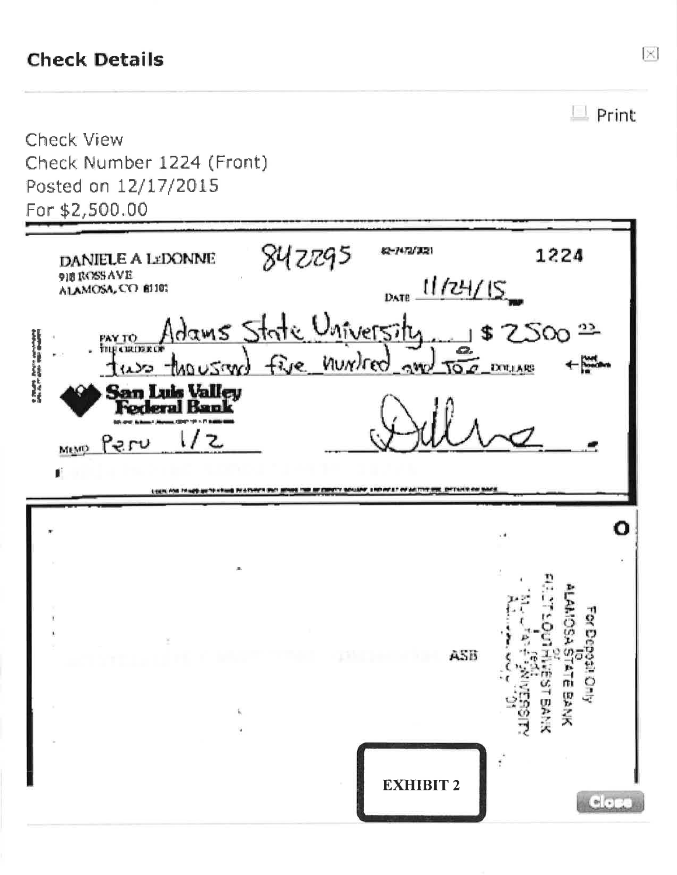# **Check Details**

|                                                       |                                                                 |                          | Print                                      |
|-------------------------------------------------------|-----------------------------------------------------------------|--------------------------|--------------------------------------------|
| <b>Check View</b><br>Check Number 1224 (Front)        |                                                                 |                          |                                            |
| Posted on 12/17/2015                                  |                                                                 |                          |                                            |
| For \$2,500.00                                        |                                                                 |                          |                                            |
| DANIELE A LEDONNE<br>918 ROSSAVE<br>ALAMOSA, CO 81101 | 842295                                                          | 82-7472/3221<br>11/24/15 | 1224                                       |
| PAY TO                                                | Adams State University<br>two thousand five number and too muss | DATE                     | \$2500                                     |
| <b>San Luis Valley<br/>Federal Bank</b><br>Meyo Peru  |                                                                 |                          |                                            |
| JÍ.                                                   |                                                                 |                          |                                            |
| Linen, Abs 74-app au 74-chaus PA-Linearn Blut 1       |                                                                 |                          |                                            |
|                                                       |                                                                 |                          |                                            |
|                                                       |                                                                 |                          |                                            |
|                                                       |                                                                 | ASB                      | ANOSA                                      |
|                                                       |                                                                 |                          | For Deposit Only<br>ATE BANK<br>男子六<br>्नु |

 $\boxtimes$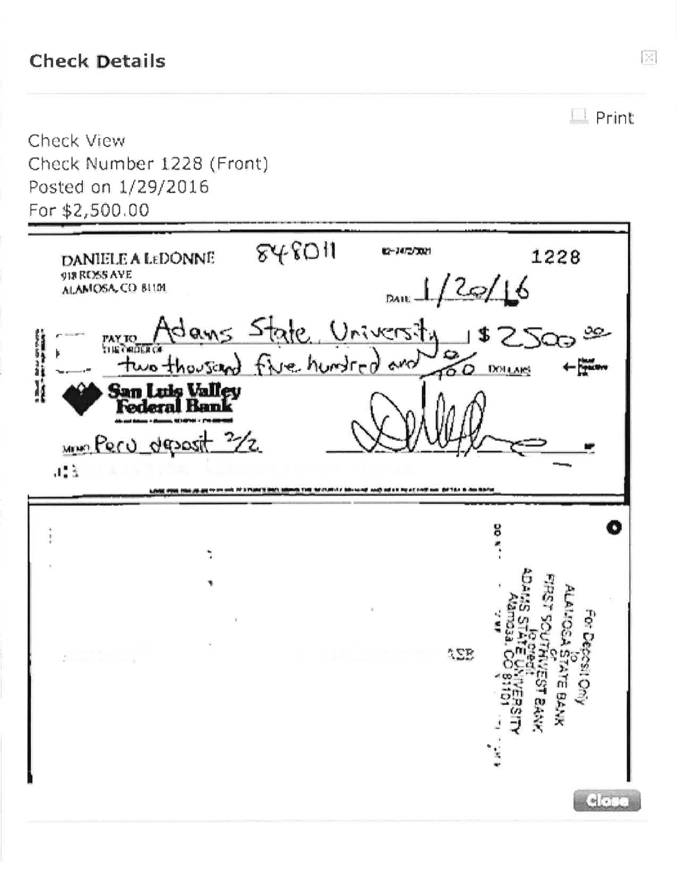# **Check Details**

 $\Box$  Print **Check View** Check Number 1228 (Front) Posted on 1/29/2016 For \$2,500.00  $848011$ 02-14/2/3021 1228 DANIELE A LEDONNE 918 RESS AVE  $12$ e/16 ALAMOSA, CO BLIM DATEdans tate University 'AY TO nie Penre two thousand five hundred and ఠం **DOLLARS** I San Luis Valley<br>Federal Bank www.Peru deposit 3/2  $\sqrt{2}$ THE SECOND CARD HE WAS ő  $\ddot{\phantom{1}}$  $22.5$  $c$ 

 $\begin{picture}(20,20) \put(0,0){\line(1,0){10}} \put(15,0){\line(1,0){10}} \put(15,0){\line(1,0){10}} \put(15,0){\line(1,0){10}} \put(15,0){\line(1,0){10}} \put(15,0){\line(1,0){10}} \put(15,0){\line(1,0){10}} \put(15,0){\line(1,0){10}} \put(15,0){\line(1,0){10}} \put(15,0){\line(1,0){10}} \put(15,0){\line(1,0){10}} \put(15,0){\line(1$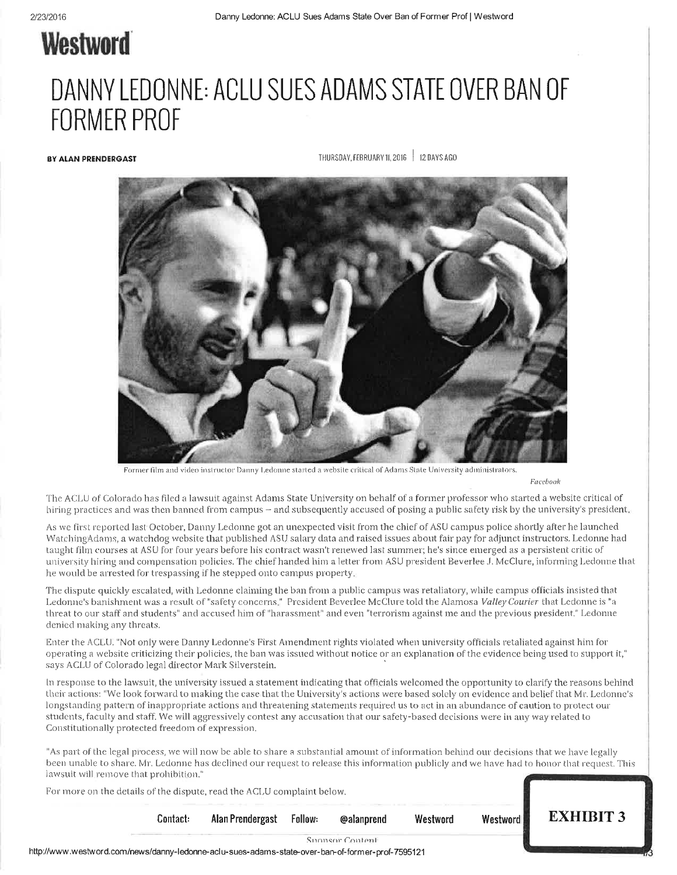# **Westword**

# DANNY LEDONNE: ACLU SUES ADAMS STATE OVER BAN OF **FORMER PROF**

**BY ALAN PRENDERGAST** 

THURSDAY, FEBRUARY 11, 2016 | 12 DAYS AGO



Former film and video instructor Danny Ledonne started a website critical of Adams State University administrators.

Facebook

The ACLU of Colorado has filed a lawsuit against Adams State University on behalf of a former professor who started a website critical of hiring practices and was then banned from campus – and subsequently accused of posing a public safety risk by the university's president.

As we first reported last October, Danny Ledonne got an unexpected visit from the chief of ASU campus police shortly after he launched WatchingAdams, a watchdog website that published ASU salary data and raised issues about fair pay for adjunct instructors. Ledonne had taught film courses at ASU for four years before his contract wasn't renewed last summer; he's since emerged as a persistent critic of university hiring and compensation policies. The chief handed him a letter from ASU president Beverlee J. McClure, informing Ledonne that he would be arrested for trespassing if he stepped onto campus property.

The dispute quickly escalated, with Ledonne claiming the ban from a public campus was retaliatory, while campus officials insisted that Ledonne's banishment was a result of "safety concerns." President Beverlee McClure told the Alamosa Valley Courier that Ledonne is "a threat to our staff and students" and accused him of "harassment" and even "terrorism against me and the previous president." Ledonne denied making any threats.

Enter the ACLU. "Not only were Danny Ledonne's First Amendment rights violated when university officials retaliated against him for operating a website criticizing their policies, the ban was issued without notice or an explanation of the evidence being used to support it," says ACLU of Colorado legal director Mark Silverstein.

In response to the lawsuit, the university issued a statement indicating that officials welcomed the opportunity to clarify the reasons behind their actions: "We look forward to making the case that the University's actions were based solely on evidence and belief that Mr. Ledonne's longstanding pattern of inappropriate actions and threatening statements required us to act in an abundance of caution to protect our students, faculty and staff. We will aggressively contest any accusation that our safety-based decisions were in any way related to Constitutionally protected freedom of expression.

"As part of the legal process, we will now be able to share a substantial amount of information behind our decisions that we have legally been unable to share. Mr. Ledonne has declined our request to release this information publicly and we have had to honor that request. This lawsuit will remove that prohibition."

For more on the details of the dispute, read the ACLU complaint below.

Contact: Westword Alan Prendergast Follow: @alanprend

**EXHIBIT 3** 

Westword

Snonsor Content

http://www.westword.com/news/danny-ledonne-aclu-sues-adams-state-over-ban-of-former-prof-7595121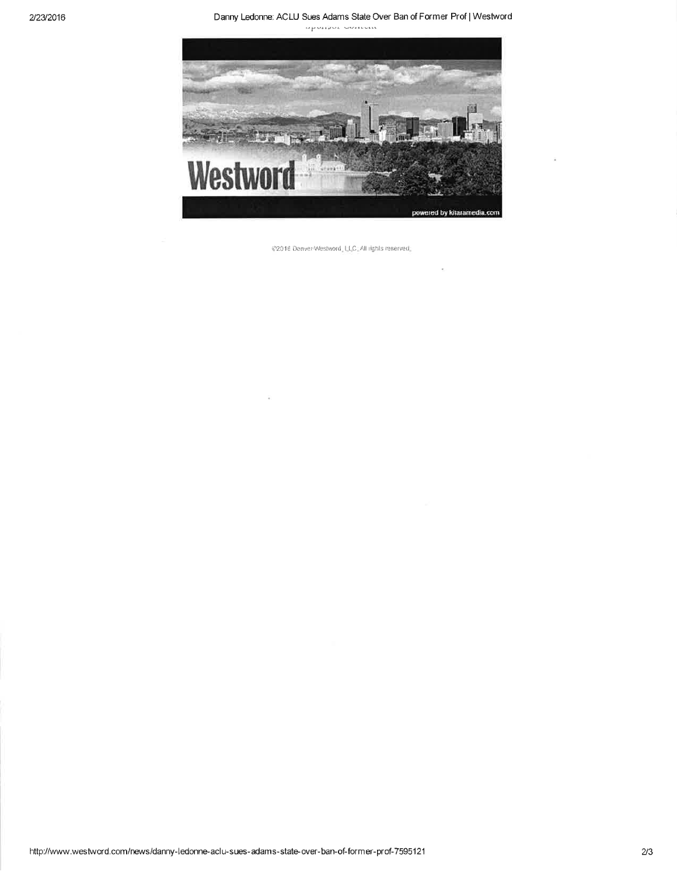Danny Ledonne: ACLU Sues Adams State Over Ban of Former Prof | Westword

apanior somen



@2016 Denver Westword, LLC: All rights reserved.